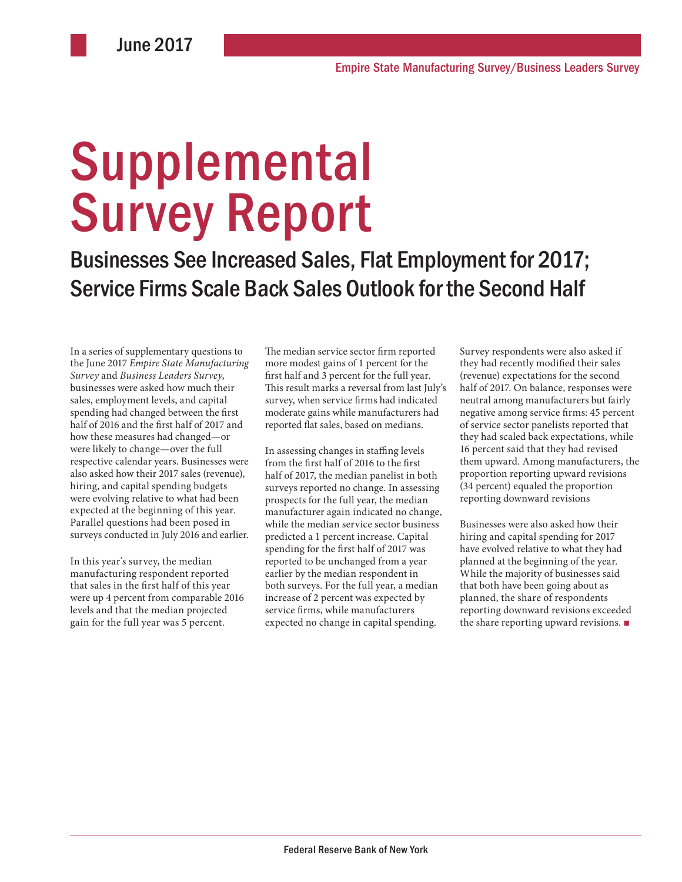# **Supplemental** Survey Report

Businesses See Increased Sales, Flat Employment for 2017; Service Firms Scale Back Sales Outlook for the Second Half

In a series of supplementary questions to the June 2017 *Empire State Manufacturing Survey* and *Business Leaders Survey*, businesses were asked how much their sales, employment levels, and capital spending had changed between the first half of 2016 and the first half of 2017 and how these measures had changed—or were likely to change—over the full respective calendar years. Businesses were also asked how their 2017 sales (revenue), hiring, and capital spending budgets were evolving relative to what had been expected at the beginning of this year. Parallel questions had been posed in surveys conducted in July 2016 and earlier.

In this year's survey, the median manufacturing respondent reported that sales in the first half of this year were up 4 percent from comparable 2016 levels and that the median projected gain for the full year was 5 percent.

The median service sector firm reported more modest gains of 1 percent for the first half and 3 percent for the full year. This result marks a reversal from last July's survey, when service firms had indicated moderate gains while manufacturers had reported flat sales, based on medians.

In assessing changes in staffing levels from the first half of 2016 to the first half of 2017, the median panelist in both surveys reported no change. In assessing prospects for the full year, the median manufacturer again indicated no change, while the median service sector business predicted a 1 percent increase. Capital spending for the first half of 2017 was reported to be unchanged from a year earlier by the median respondent in both surveys. For the full year, a median increase of 2 percent was expected by service firms, while manufacturers expected no change in capital spending.

Survey respondents were also asked if they had recently modified their sales (revenue) expectations for the second half of 2017. On balance, responses were neutral among manufacturers but fairly negative among service firms: 45 percent of service sector panelists reported that they had scaled back expectations, while 16 percent said that they had revised them upward. Among manufacturers, the proportion reporting upward revisions (34 percent) equaled the proportion reporting downward revisions

Businesses were also asked how their hiring and capital spending for 2017 have evolved relative to what they had planned at the beginning of the year. While the majority of businesses said that both have been going about as planned, the share of respondents reporting downward revisions exceeded the share reporting upward revisions. ■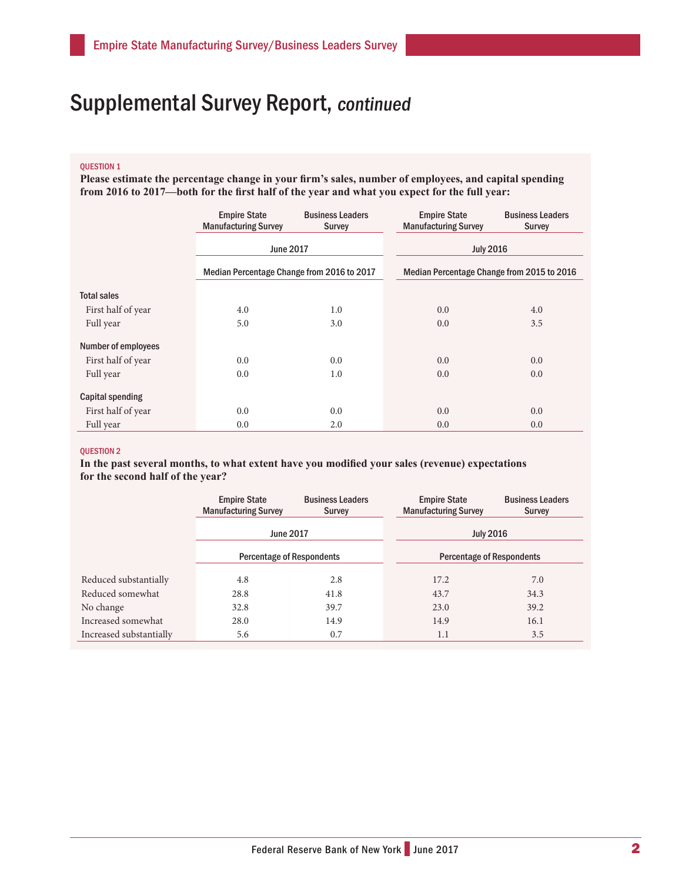### QUESTION 1

**Please estimate the percentage change in your firm's sales, number of employees, and capital spending from 2016 to 2017—both for the first half of the year and what you expect for the full year:**

|                            | <b>Empire State</b><br><b>Manufacturing Survey</b> | <b>Business Leaders</b><br><b>Survey</b> | <b>Empire State</b><br><b>Manufacturing Survey</b> | <b>Business Leaders</b><br><b>Survey</b> |
|----------------------------|----------------------------------------------------|------------------------------------------|----------------------------------------------------|------------------------------------------|
|                            | <b>June 2017</b>                                   |                                          | <b>July 2016</b>                                   |                                          |
|                            | Median Percentage Change from 2016 to 2017         |                                          | Median Percentage Change from 2015 to 2016         |                                          |
| <b>Total sales</b>         |                                                    |                                          |                                                    |                                          |
| First half of year         | 4.0                                                | 1.0                                      | 0.0                                                | 4.0                                      |
| Full year                  | 5.0                                                | 3.0                                      | 0.0                                                | 3.5                                      |
| <b>Number of employees</b> |                                                    |                                          |                                                    |                                          |
| First half of year         | 0.0                                                | 0.0                                      | 0.0                                                | 0.0                                      |
| Full year                  | 0.0                                                | 1.0                                      | 0.0                                                | 0.0                                      |
| Capital spending           |                                                    |                                          |                                                    |                                          |
| First half of year         | 0.0                                                | 0.0                                      | 0.0                                                | 0.0                                      |
| Full year                  | 0.0                                                | 2.0                                      | 0.0                                                | 0.0                                      |

#### QUESTION 2

**In the past several months, to what extent have you modified your sales (revenue) expectations for the second half of the year?**

|                         | <b>Empire State</b><br><b>Manufacturing Survey</b> | <b>Business Leaders</b><br><b>Survey</b> | <b>Empire State</b><br><b>Manufacturing Survey</b> | <b>Business Leaders</b><br>Survey |
|-------------------------|----------------------------------------------------|------------------------------------------|----------------------------------------------------|-----------------------------------|
|                         | <b>June 2017</b>                                   |                                          | <b>July 2016</b>                                   |                                   |
|                         | <b>Percentage of Respondents</b>                   |                                          | <b>Percentage of Respondents</b>                   |                                   |
| Reduced substantially   | 4.8                                                | 2.8                                      | 17.2                                               | 7.0                               |
| Reduced somewhat        | 28.8                                               | 41.8                                     | 43.7                                               | 34.3                              |
| No change               | 32.8                                               | 39.7                                     | 23.0                                               | 39.2                              |
| Increased somewhat      | 28.0                                               | 14.9                                     | 14.9                                               | 16.1                              |
| Increased substantially | 5.6                                                | 0.7                                      | 1.1                                                | 3.5                               |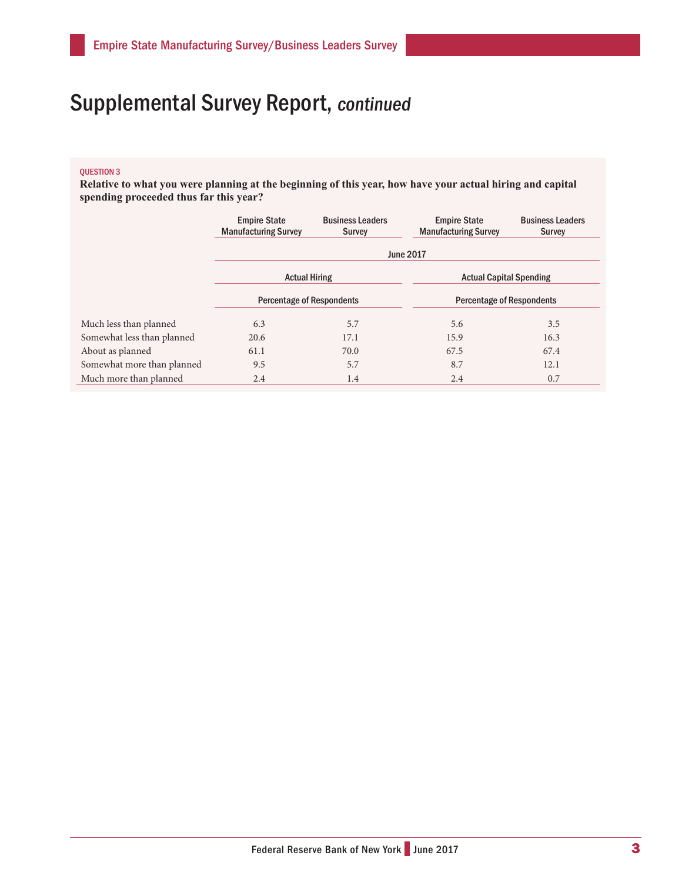#### QUESTION 3

**Relative to what you were planning at the beginning of this year, how have your actual hiring and capital spending proceeded thus far this year?**

|                            | <b>Empire State</b><br><b>Manufacturing Survey</b> | <b>Business Leaders</b><br><b>Survey</b> | <b>Empire State</b><br><b>Manufacturing Survey</b> | <b>Business Leaders</b><br><b>Survey</b> |  |  |
|----------------------------|----------------------------------------------------|------------------------------------------|----------------------------------------------------|------------------------------------------|--|--|
|                            | <b>June 2017</b>                                   |                                          |                                                    |                                          |  |  |
|                            | <b>Actual Hiring</b>                               |                                          | <b>Actual Capital Spending</b>                     |                                          |  |  |
|                            | <b>Percentage of Respondents</b>                   |                                          | <b>Percentage of Respondents</b>                   |                                          |  |  |
| Much less than planned     | 6.3                                                | 5.7                                      | 5.6                                                | 3.5                                      |  |  |
| Somewhat less than planned | 20.6                                               | 17.1                                     | 15.9                                               | 16.3                                     |  |  |
| About as planned           | 61.1                                               | 70.0                                     | 67.5                                               | 67.4                                     |  |  |
| Somewhat more than planned | 9.5                                                | 5.7                                      | 8.7                                                | 12.1                                     |  |  |
| Much more than planned     | 2.4                                                | 1.4                                      | 2.4                                                | 0.7                                      |  |  |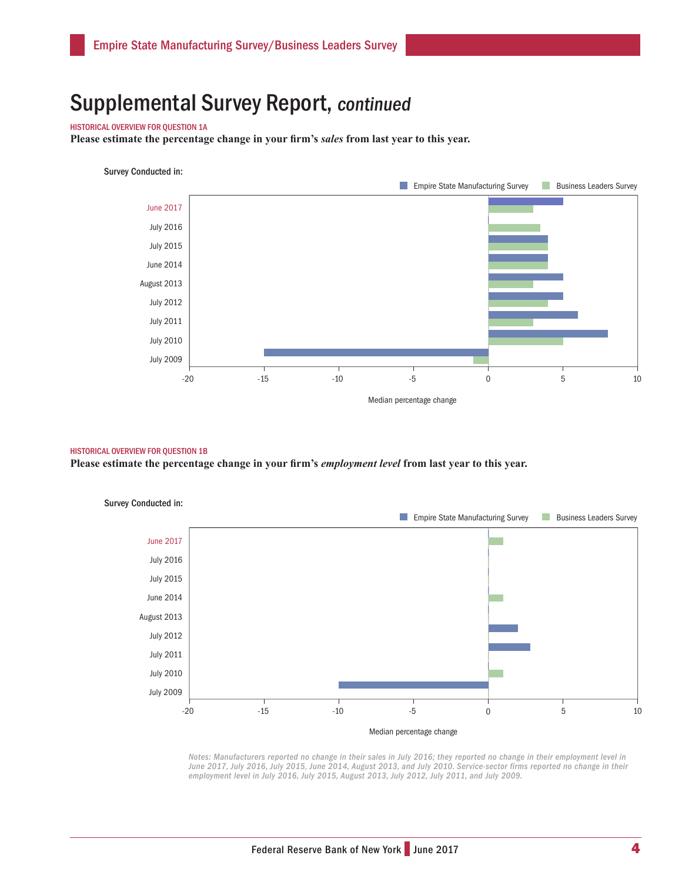#### HISTORICAL OVERVIEW FOR QUESTION 1A

**Please estimate the percentage change in your firm's** *sales* **from last year to this year.**

### Survey Conducted in:



#### HISTORICAL OVERVIEW FOR QUESTION 1B

**Please estimate the percentage change in your firm's** *employment level* **from last year to this year.** 



*Notes: Manufacturers reported no change in their sales in July 2016; they reported no change in their employment level in*  June 2017, July 2016, July 2015, June 2014, August 2013, and July 2010. Service-sector firms reported no change in their *employment level in July 2016, July 2015, August 2013, July 2012, July 2011, and July 2009.*